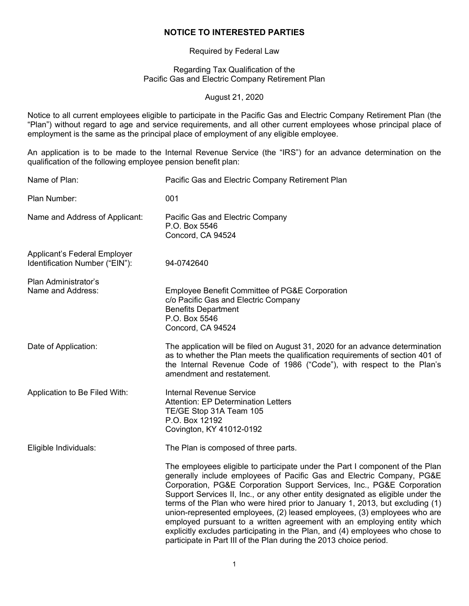### **NOTICE TO INTERESTED PARTIES**

Required by Federal Law

Regarding Tax Qualification of the Pacific Gas and Electric Company Retirement Plan

August 21, 2020

Notice to all current employees eligible to participate in the Pacific Gas and Electric Company Retirement Plan (the "Plan") without regard to age and service requirements, and all other current employees whose principal place of employment is the same as the principal place of employment of any eligible employee.

An application is to be made to the Internal Revenue Service (the "IRS") for an advance determination on the qualification of the following employee pension benefit plan:

| Name of Plan:                                                  | Pacific Gas and Electric Company Retirement Plan                                                                                                                                                                                                                                                                                                                                                                                                                                                                                                                                                                                                                                                                 |
|----------------------------------------------------------------|------------------------------------------------------------------------------------------------------------------------------------------------------------------------------------------------------------------------------------------------------------------------------------------------------------------------------------------------------------------------------------------------------------------------------------------------------------------------------------------------------------------------------------------------------------------------------------------------------------------------------------------------------------------------------------------------------------------|
| Plan Number:                                                   | 001                                                                                                                                                                                                                                                                                                                                                                                                                                                                                                                                                                                                                                                                                                              |
| Name and Address of Applicant:                                 | Pacific Gas and Electric Company<br>P.O. Box 5546<br>Concord, CA 94524                                                                                                                                                                                                                                                                                                                                                                                                                                                                                                                                                                                                                                           |
| Applicant's Federal Employer<br>Identification Number ("EIN"): | 94-0742640                                                                                                                                                                                                                                                                                                                                                                                                                                                                                                                                                                                                                                                                                                       |
| Plan Administrator's<br>Name and Address:                      | <b>Employee Benefit Committee of PG&amp;E Corporation</b><br>c/o Pacific Gas and Electric Company<br><b>Benefits Department</b><br>P.O. Box 5546<br>Concord, CA 94524                                                                                                                                                                                                                                                                                                                                                                                                                                                                                                                                            |
| Date of Application:                                           | The application will be filed on August 31, 2020 for an advance determination<br>as to whether the Plan meets the qualification requirements of section 401 of<br>the Internal Revenue Code of 1986 ("Code"), with respect to the Plan's<br>amendment and restatement.                                                                                                                                                                                                                                                                                                                                                                                                                                           |
| Application to Be Filed With:                                  | <b>Internal Revenue Service</b><br><b>Attention: EP Determination Letters</b><br>TE/GE Stop 31A Team 105<br>P.O. Box 12192<br>Covington, KY 41012-0192                                                                                                                                                                                                                                                                                                                                                                                                                                                                                                                                                           |
| Eligible Individuals:                                          | The Plan is composed of three parts.                                                                                                                                                                                                                                                                                                                                                                                                                                                                                                                                                                                                                                                                             |
|                                                                | The employees eligible to participate under the Part I component of the Plan<br>generally include employees of Pacific Gas and Electric Company, PG&E<br>Corporation, PG&E Corporation Support Services, Inc., PG&E Corporation<br>Support Services II, Inc., or any other entity designated as eligible under the<br>terms of the Plan who were hired prior to January 1, 2013, but excluding (1)<br>union-represented employees, (2) leased employees, (3) employees who are<br>employed pursuant to a written agreement with an employing entity which<br>explicitly excludes participating in the Plan, and (4) employees who chose to<br>participate in Part III of the Plan during the 2013 choice period. |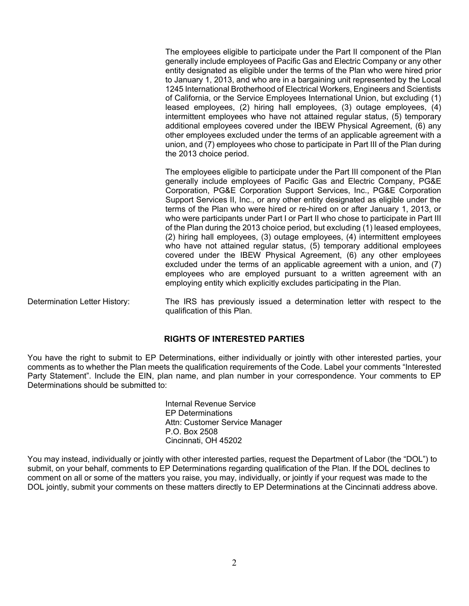The employees eligible to participate under the Part II component of the Plan generally include employees of Pacific Gas and Electric Company or any other entity designated as eligible under the terms of the Plan who were hired prior to January 1, 2013, and who are in a bargaining unit represented by the Local 1245 International Brotherhood of Electrical Workers, Engineers and Scientists of California, or the Service Employees International Union, but excluding (1) leased employees, (2) hiring hall employees, (3) outage employees, (4) intermittent employees who have not attained regular status, (5) temporary additional employees covered under the IBEW Physical Agreement, (6) any other employees excluded under the terms of an applicable agreement with a union, and (7) employees who chose to participate in Part III of the Plan during the 2013 choice period.

The employees eligible to participate under the Part III component of the Plan generally include employees of Pacific Gas and Electric Company, PG&E Corporation, PG&E Corporation Support Services, Inc., PG&E Corporation Support Services II, Inc., or any other entity designated as eligible under the terms of the Plan who were hired or re-hired on or after January 1, 2013, or who were participants under Part I or Part II who chose to participate in Part III of the Plan during the 2013 choice period, but excluding (1) leased employees, (2) hiring hall employees, (3) outage employees, (4) intermittent employees who have not attained regular status, (5) temporary additional employees covered under the IBEW Physical Agreement, (6) any other employees excluded under the terms of an applicable agreement with a union, and (7) employees who are employed pursuant to a written agreement with an employing entity which explicitly excludes participating in the Plan.

Determination Letter History: The IRS has previously issued a determination letter with respect to the qualification of this Plan.

# **RIGHTS OF INTERESTED PARTIES**

You have the right to submit to EP Determinations, either individually or jointly with other interested parties, your comments as to whether the Plan meets the qualification requirements of the Code. Label your comments "Interested Party Statement". Include the EIN, plan name, and plan number in your correspondence. Your comments to EP Determinations should be submitted to:

> Internal Revenue Service EP Determinations Attn: Customer Service Manager P.O. Box 2508 Cincinnati, OH 45202

You may instead, individually or jointly with other interested parties, request the Department of Labor (the "DOL") to submit, on your behalf, comments to EP Determinations regarding qualification of the Plan. If the DOL declines to comment on all or some of the matters you raise, you may, individually, or jointly if your request was made to the DOL jointly, submit your comments on these matters directly to EP Determinations at the Cincinnati address above.